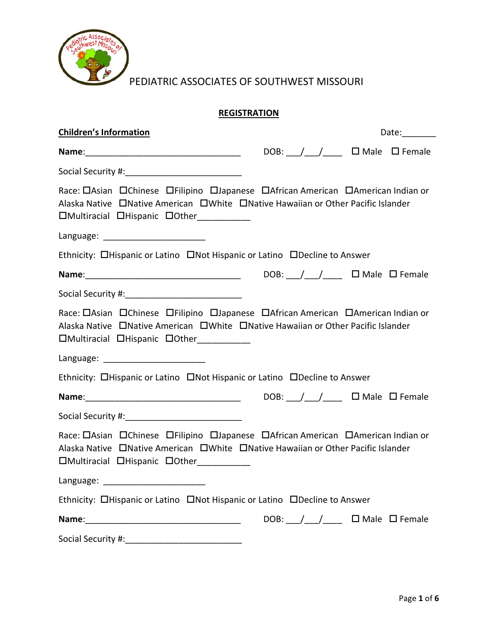

PEDIATRIC ASSOCIATES OF SOUTHWEST MISSOURI

# **REGISTRATION**

| <b>Children's Information</b>                                                                                                                                                                                                       |  | Date: $\qquad \qquad$                                              |
|-------------------------------------------------------------------------------------------------------------------------------------------------------------------------------------------------------------------------------------|--|--------------------------------------------------------------------|
|                                                                                                                                                                                                                                     |  | DOB: $\angle$ $\angle$ $\angle$ $\angle$ $\Box$ Male $\Box$ Female |
|                                                                                                                                                                                                                                     |  |                                                                    |
| Race: OAsian OChinese OFilipino OJapanese OAfrican American OAmerican Indian or<br>Alaska Native DNative American DWhite DNative Hawaiian or Other Pacific Islander<br>□Multiracial □Hispanic □Other__________                      |  |                                                                    |
| Language: _________________________                                                                                                                                                                                                 |  |                                                                    |
| Ethnicity: OHispanic or Latino ONot Hispanic or Latino ODecline to Answer                                                                                                                                                           |  |                                                                    |
| <b>Name</b> : 2008. The Constantine Constant Constant Constant DOB: 2012. The Constant Constant Constant Constant Constant Constant Constant Constant Constant Constant Constant Constant Constant Constant Constant Constant Const |  |                                                                    |
|                                                                                                                                                                                                                                     |  |                                                                    |
| Race: OAsian OChinese OFilipino OJapanese OAfrican American OAmerican Indian or<br>Alaska Native DNative American DWhite DNative Hawaiian or Other Pacific Islander<br>□Multiracial □Hispanic □Other___________                     |  |                                                                    |
|                                                                                                                                                                                                                                     |  |                                                                    |
| Ethnicity: OHispanic or Latino ONot Hispanic or Latino ODecline to Answer                                                                                                                                                           |  |                                                                    |
|                                                                                                                                                                                                                                     |  |                                                                    |
|                                                                                                                                                                                                                                     |  |                                                                    |
| Race: OAsian OChinese OFilipino OJapanese OAfrican American OAmerican Indian or<br>Alaska Native DNative American DWhite DNative Hawaiian or Other Pacific Islander<br>□Multiracial □Hispanic □Other__________                      |  |                                                                    |
|                                                                                                                                                                                                                                     |  |                                                                    |
| Ethnicity: <b>Ohispanic or Latino</b> ON Hispanic or Latino OD Decline to Answer                                                                                                                                                    |  |                                                                    |
|                                                                                                                                                                                                                                     |  | DOB: $\angle$ $\angle$ $\angle$ $\angle$ $\Box$ Male $\Box$ Female |
| Social Security #:                                                                                                                                                                                                                  |  |                                                                    |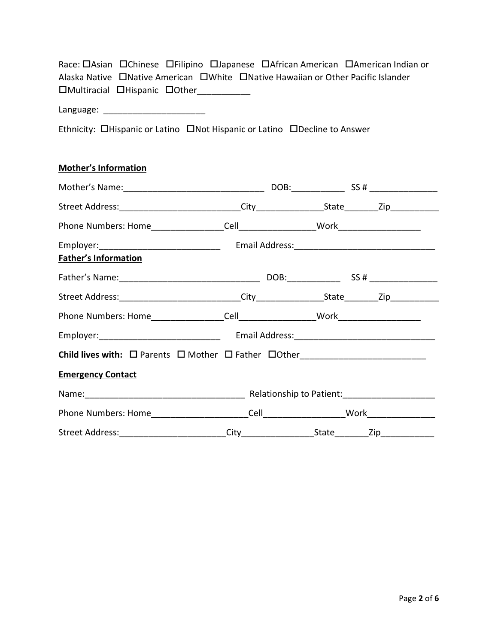| Race: OAsian OChinese OFilipino OJapanese OAfrican American OAmerican Indian or  |  |
|----------------------------------------------------------------------------------|--|
| Alaska Native □Native American □White □Native Hawaiian or Other Pacific Islander |  |
| □Multiracial □Hispanic □Other                                                    |  |

Language: \_\_\_\_\_\_\_\_\_\_\_\_\_\_\_\_\_\_\_\_\_

Ethnicity: **OHispanic or Latino CONOT Hispanic or Latino CONOT Answer** 

# **Mother's Information**

| <b>Father's Information</b>                                                           |  |  |  |  |  |
|---------------------------------------------------------------------------------------|--|--|--|--|--|
|                                                                                       |  |  |  |  |  |
|                                                                                       |  |  |  |  |  |
|                                                                                       |  |  |  |  |  |
|                                                                                       |  |  |  |  |  |
|                                                                                       |  |  |  |  |  |
| <b>Emergency Contact</b>                                                              |  |  |  |  |  |
|                                                                                       |  |  |  |  |  |
|                                                                                       |  |  |  |  |  |
| Street Address: _________________________City ___________________________________ Zip |  |  |  |  |  |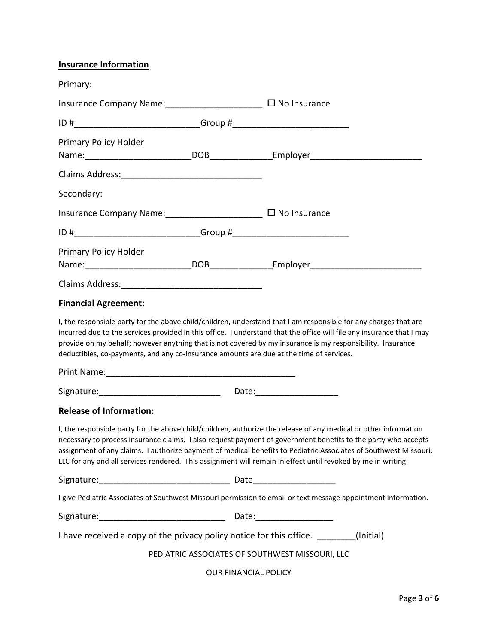## **Insurance Information**

| Primary:                                                                                |                                                                                                                                                                                                                                                                                                                                                                                                                                                                       |
|-----------------------------------------------------------------------------------------|-----------------------------------------------------------------------------------------------------------------------------------------------------------------------------------------------------------------------------------------------------------------------------------------------------------------------------------------------------------------------------------------------------------------------------------------------------------------------|
| Insurance Company Name: _________________________ □ No Insurance                        |                                                                                                                                                                                                                                                                                                                                                                                                                                                                       |
|                                                                                         |                                                                                                                                                                                                                                                                                                                                                                                                                                                                       |
| Primary Policy Holder                                                                   |                                                                                                                                                                                                                                                                                                                                                                                                                                                                       |
|                                                                                         |                                                                                                                                                                                                                                                                                                                                                                                                                                                                       |
| Secondary:                                                                              |                                                                                                                                                                                                                                                                                                                                                                                                                                                                       |
| Insurance Company Name: _________________________ □ No Insurance                        |                                                                                                                                                                                                                                                                                                                                                                                                                                                                       |
|                                                                                         |                                                                                                                                                                                                                                                                                                                                                                                                                                                                       |
| Primary Policy Holder                                                                   |                                                                                                                                                                                                                                                                                                                                                                                                                                                                       |
|                                                                                         |                                                                                                                                                                                                                                                                                                                                                                                                                                                                       |
| <b>Financial Agreement:</b>                                                             |                                                                                                                                                                                                                                                                                                                                                                                                                                                                       |
| deductibles, co-payments, and any co-insurance amounts are due at the time of services. | I, the responsible party for the above child/children, understand that I am responsible for any charges that are<br>incurred due to the services provided in this office. I understand that the office will file any insurance that I may<br>provide on my behalf; however anything that is not covered by my insurance is my responsibility. Insurance                                                                                                               |
|                                                                                         |                                                                                                                                                                                                                                                                                                                                                                                                                                                                       |
| <b>Release of Information:</b>                                                          |                                                                                                                                                                                                                                                                                                                                                                                                                                                                       |
|                                                                                         | I, the responsible party for the above child/children, authorize the release of any medical or other information<br>necessary to process insurance claims. I also request payment of government benefits to the party who accepts<br>assignment of any claims. I authorize payment of medical benefits to Pediatric Associates of Southwest Missouri,<br>LLC for any and all services rendered. This assignment will remain in effect until revoked by me in writing. |
|                                                                                         |                                                                                                                                                                                                                                                                                                                                                                                                                                                                       |
|                                                                                         | I give Pediatric Associates of Southwest Missouri permission to email or text message appointment information.                                                                                                                                                                                                                                                                                                                                                        |
|                                                                                         |                                                                                                                                                                                                                                                                                                                                                                                                                                                                       |
| I have received a copy of the privacy policy notice for this office. ________           | (Initial)                                                                                                                                                                                                                                                                                                                                                                                                                                                             |
|                                                                                         | PEDIATRIC ASSOCIATES OF SOUTHWEST MISSOURI, LLC                                                                                                                                                                                                                                                                                                                                                                                                                       |
|                                                                                         | <b>OUR FINANCIAL POLICY</b>                                                                                                                                                                                                                                                                                                                                                                                                                                           |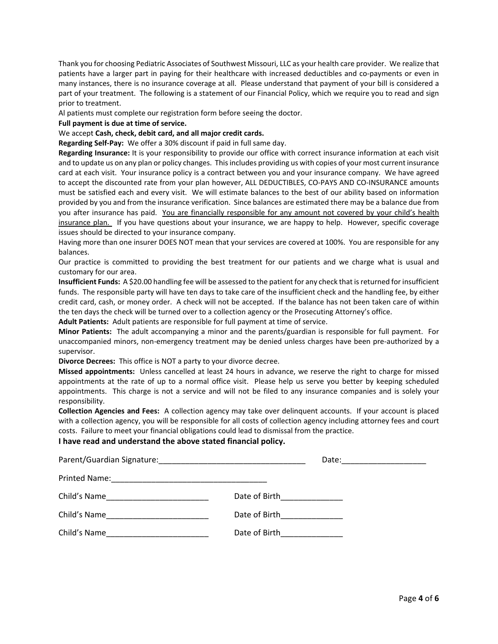Thank you for choosing Pediatric Associates of Southwest Missouri, LLC as your health care provider. We realize that patients have a larger part in paying for their healthcare with increased deductibles and co-payments or even in many instances, there is no insurance coverage at all. Please understand that payment of your bill is considered a part of your treatment. The following is a statement of our Financial Policy, which we require you to read and sign prior to treatment.

Al patients must complete our registration form before seeing the doctor.

#### **Full payment is due at time of service.**

#### We accept **Cash, check, debit card, and all major credit cards.**

**Regarding Self‐Pay:** We offer a 30% discount if paid in full same day.

**Regarding Insurance:** It is your responsibility to provide our office with correct insurance information at each visit and to update us on any plan or policy changes. Thisincludes providing us with copies of your most current insurance card at each visit. Your insurance policy is a contract between you and your insurance company. We have agreed to accept the discounted rate from your plan however, ALL DEDUCTIBLES, CO-PAYS AND CO-INSURANCE amounts must be satisfied each and every visit. We will estimate balances to the best of our ability based on information provided by you and from the insurance verification. Since balances are estimated there may be a balance due from you after insurance has paid. You are financially responsible for any amount not covered by your child's health insurance plan. If you have questions about your insurance, we are happy to help. However, specific coverage issues should be directed to your insurance company.

Having more than one insurer DOES NOT mean that your services are covered at 100%. You are responsible for any balances.

Our practice is committed to providing the best treatment for our patients and we charge what is usual and customary for our area.

**Insufficient Funds:** A \$20.00 handling fee will be assessed to the patient for any check that isreturned for insufficient funds. The responsible party will have ten days to take care of the insufficient check and the handling fee, by either credit card, cash, or money order. A check will not be accepted. If the balance has not been taken care of within the ten days the check will be turned over to a collection agency or the Prosecuting Attorney's office.

**Adult Patients:** Adult patients are responsible for full payment at time of service.

**Minor Patients:** The adult accompanying a minor and the parents/guardian is responsible for full payment. For unaccompanied minors, non-emergency treatment may be denied unless charges have been pre-authorized by a supervisor.

**Divorce Decrees:** This office is NOT a party to your divorce decree.

**Missed appointments:** Unless cancelled at least 24 hours in advance, we reserve the right to charge for missed appointments at the rate of up to a normal office visit. Please help us serve you better by keeping scheduled appointments. This charge is not a service and will not be filed to any insurance companies and is solely your responsibility.

**Collection Agencies and Fees:** A collection agency may take over delinquent accounts. If your account is placed with a collection agency, you will be responsible for all costs of collection agency including attorney fees and court costs. Failure to meet your financial obligations could lead to dismissal from the practice.

#### **I have read and understand the above stated financial policy.**

|              | Date:                            |
|--------------|----------------------------------|
|              |                                  |
| Child's Name | Date of Birth________________    |
| Child's Name | Date of Birth_______________     |
| Child's Name | Date of Birth <b>Exercise 20</b> |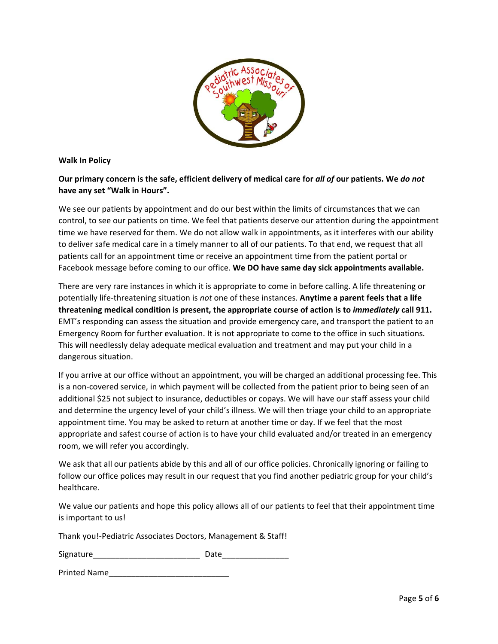

#### **Walk In Policy**

### Our primary concern is the safe, efficient delivery of medical care for all of our patients. We do not **have any set "Walk in Hours".**

We see our patients by appointment and do our best within the limits of circumstances that we can control, to see our patients on time. We feel that patients deserve our attention during the appointment time we have reserved for them. We do not allow walk in appointments, as it interferes with our ability to deliver safe medical care in a timely manner to all of our patients. To that end, we request that all patients call for an appointment time or receive an appointment time from the patient portal or Facebook message before coming to our office. **We DO have same day sick appointments available.**

There are very rare instances in which it is appropriate to come in before calling. A life threatening or potentially life‐threatening situation is *not* one of these instances. **Anytime a parent feels that a life threatening medical condition is present, the appropriate course of action is to** *immediately* **call 911.** EMT's responding can assess the situation and provide emergency care, and transport the patient to an Emergency Room for further evaluation. It is not appropriate to come to the office in such situations. This will needlessly delay adequate medical evaluation and treatment and may put your child in a dangerous situation.

If you arrive at our office without an appointment, you will be charged an additional processing fee. This is a non‐covered service, in which payment will be collected from the patient prior to being seen of an additional \$25 not subject to insurance, deductibles or copays. We will have our staff assess your child and determine the urgency level of your child's illness. We will then triage your child to an appropriate appointment time. You may be asked to return at another time or day. If we feel that the most appropriate and safest course of action is to have your child evaluated and/or treated in an emergency room, we will refer you accordingly.

We ask that all our patients abide by this and all of our office policies. Chronically ignoring or failing to follow our office polices may result in our request that you find another pediatric group for your child's healthcare.

We value our patients and hope this policy allows all of our patients to feel that their appointment time is important to us!

Thank you!‐Pediatric Associates Doctors, Management & Staff!

Signature\_\_\_\_\_\_\_\_\_\_\_\_\_\_\_\_\_\_\_\_\_\_\_\_ Date\_\_\_\_\_\_\_\_\_\_\_\_\_\_\_

Printed Name\_\_\_\_\_\_\_\_\_\_\_\_\_\_\_\_\_\_\_\_\_\_\_\_\_\_\_